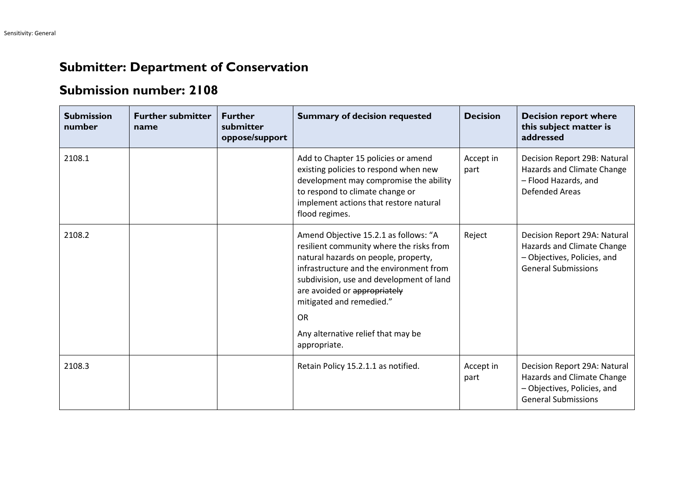## **Submitter: Department of Conservation**

## **Submission number: 2108**

| <b>Submission</b><br>number | <b>Further submitter</b><br>name | <b>Further</b><br>submitter<br>oppose/support | <b>Summary of decision requested</b>                                                                                                                                                                                                                                                                                                            | <b>Decision</b>   | <b>Decision report where</b><br>this subject matter is<br>addressed                                                     |
|-----------------------------|----------------------------------|-----------------------------------------------|-------------------------------------------------------------------------------------------------------------------------------------------------------------------------------------------------------------------------------------------------------------------------------------------------------------------------------------------------|-------------------|-------------------------------------------------------------------------------------------------------------------------|
| 2108.1                      |                                  |                                               | Add to Chapter 15 policies or amend<br>existing policies to respond when new<br>development may compromise the ability<br>to respond to climate change or<br>implement actions that restore natural<br>flood regimes.                                                                                                                           | Accept in<br>part | Decision Report 29B: Natural<br>Hazards and Climate Change<br>- Flood Hazards, and<br><b>Defended Areas</b>             |
| 2108.2                      |                                  |                                               | Amend Objective 15.2.1 as follows: "A<br>resilient community where the risks from<br>natural hazards on people, property,<br>infrastructure and the environment from<br>subdivision, use and development of land<br>are avoided or appropriately<br>mitigated and remedied."<br><b>OR</b><br>Any alternative relief that may be<br>appropriate. | Reject            | Decision Report 29A: Natural<br>Hazards and Climate Change<br>- Objectives, Policies, and<br><b>General Submissions</b> |
| 2108.3                      |                                  |                                               | Retain Policy 15.2.1.1 as notified.                                                                                                                                                                                                                                                                                                             | Accept in<br>part | Decision Report 29A: Natural<br>Hazards and Climate Change<br>- Objectives, Policies, and<br><b>General Submissions</b> |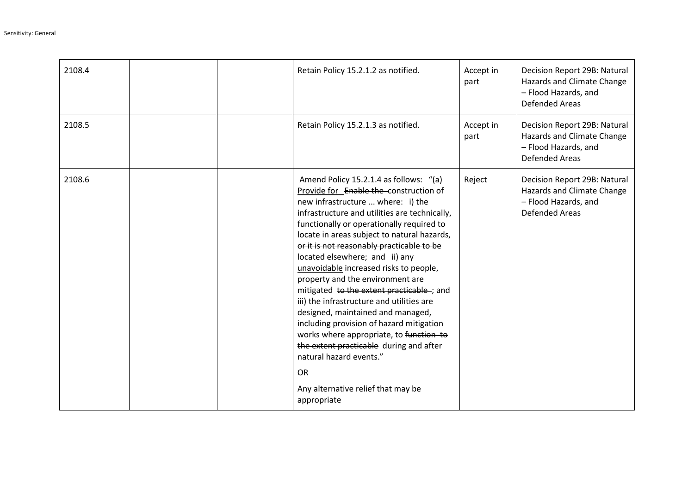| 2108.4 |  | Retain Policy 15.2.1.2 as notified.                                                                                                                                                                                                                                                                                                                                                                                                                                                                                                                                                                                                                                                                                                                                                            | Accept in<br>part | Decision Report 29B: Natural<br>Hazards and Climate Change<br>- Flood Hazards, and<br><b>Defended Areas</b> |
|--------|--|------------------------------------------------------------------------------------------------------------------------------------------------------------------------------------------------------------------------------------------------------------------------------------------------------------------------------------------------------------------------------------------------------------------------------------------------------------------------------------------------------------------------------------------------------------------------------------------------------------------------------------------------------------------------------------------------------------------------------------------------------------------------------------------------|-------------------|-------------------------------------------------------------------------------------------------------------|
| 2108.5 |  | Retain Policy 15.2.1.3 as notified.                                                                                                                                                                                                                                                                                                                                                                                                                                                                                                                                                                                                                                                                                                                                                            | Accept in<br>part | Decision Report 29B: Natural<br>Hazards and Climate Change<br>- Flood Hazards, and<br><b>Defended Areas</b> |
| 2108.6 |  | Amend Policy 15.2.1.4 as follows: "(a)<br>Provide for Enable the construction of<br>new infrastructure  where: i) the<br>infrastructure and utilities are technically,<br>functionally or operationally required to<br>locate in areas subject to natural hazards,<br>or it is not reasonably practicable to be<br>located elsewhere; and ii) any<br>unavoidable increased risks to people,<br>property and the environment are<br>mitigated to the extent practicable -; and<br>iii) the infrastructure and utilities are<br>designed, maintained and managed,<br>including provision of hazard mitigation<br>works where appropriate, to function to<br>the extent practicable during and after<br>natural hazard events."<br><b>OR</b><br>Any alternative relief that may be<br>appropriate | Reject            | Decision Report 29B: Natural<br>Hazards and Climate Change<br>- Flood Hazards, and<br><b>Defended Areas</b> |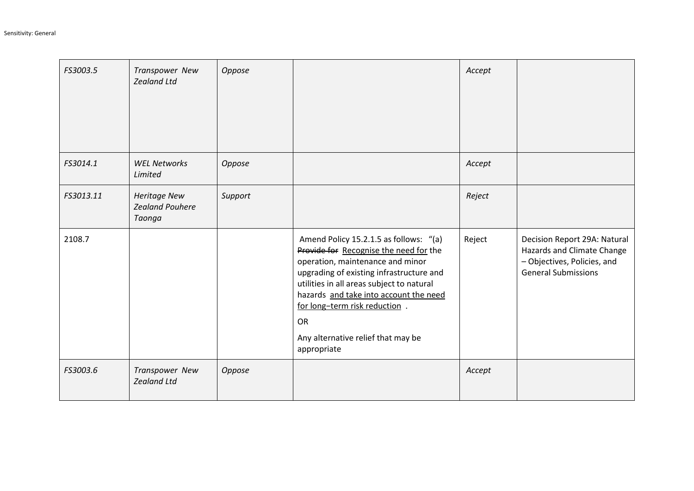| FS3003.5  | Transpower New<br><b>Zealand Ltd</b>                    | Oppose  |                                                                                                                                                                                                                                                                                                                                                            | Accept |                                                                                                                         |
|-----------|---------------------------------------------------------|---------|------------------------------------------------------------------------------------------------------------------------------------------------------------------------------------------------------------------------------------------------------------------------------------------------------------------------------------------------------------|--------|-------------------------------------------------------------------------------------------------------------------------|
| FS3014.1  | <b>WEL Networks</b><br>Limited                          | Oppose  |                                                                                                                                                                                                                                                                                                                                                            | Accept |                                                                                                                         |
| FS3013.11 | <b>Heritage New</b><br><b>Zealand Pouhere</b><br>Taonga | Support |                                                                                                                                                                                                                                                                                                                                                            | Reject |                                                                                                                         |
| 2108.7    |                                                         |         | Amend Policy 15.2.1.5 as follows: "(a)<br>Provide for Recognise the need for the<br>operation, maintenance and minor<br>upgrading of existing infrastructure and<br>utilities in all areas subject to natural<br>hazards and take into account the need<br>for long-term risk reduction.<br><b>OR</b><br>Any alternative relief that may be<br>appropriate | Reject | Decision Report 29A: Natural<br>Hazards and Climate Change<br>- Objectives, Policies, and<br><b>General Submissions</b> |
| FS3003.6  | Transpower New<br><b>Zealand Ltd</b>                    | Oppose  |                                                                                                                                                                                                                                                                                                                                                            | Accept |                                                                                                                         |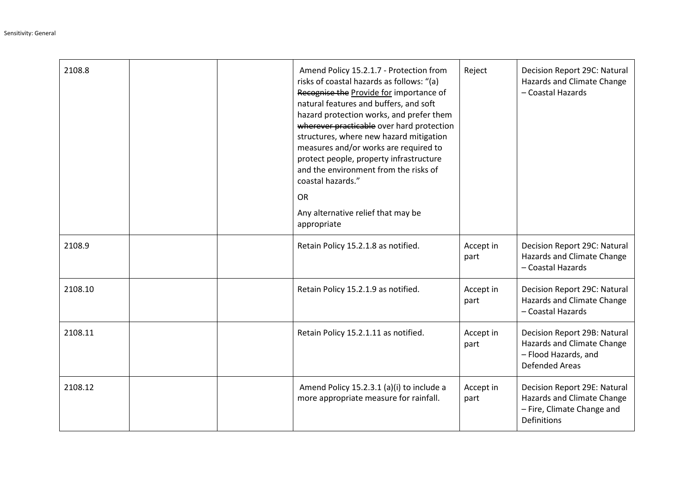| 2108.8  |  | Amend Policy 15.2.1.7 - Protection from<br>risks of coastal hazards as follows: "(a)<br>Recognise the Provide for importance of<br>natural features and buffers, and soft<br>hazard protection works, and prefer them<br>wherever practicable over hard protection<br>structures, where new hazard mitigation<br>measures and/or works are required to<br>protect people, property infrastructure<br>and the environment from the risks of<br>coastal hazards."<br><b>OR</b><br>Any alternative relief that may be<br>appropriate | Reject            | Decision Report 29C: Natural<br>Hazards and Climate Change<br>- Coastal Hazards                                |
|---------|--|-----------------------------------------------------------------------------------------------------------------------------------------------------------------------------------------------------------------------------------------------------------------------------------------------------------------------------------------------------------------------------------------------------------------------------------------------------------------------------------------------------------------------------------|-------------------|----------------------------------------------------------------------------------------------------------------|
| 2108.9  |  | Retain Policy 15.2.1.8 as notified.                                                                                                                                                                                                                                                                                                                                                                                                                                                                                               | Accept in<br>part | Decision Report 29C: Natural<br>Hazards and Climate Change<br>- Coastal Hazards                                |
| 2108.10 |  | Retain Policy 15.2.1.9 as notified.                                                                                                                                                                                                                                                                                                                                                                                                                                                                                               | Accept in<br>part | Decision Report 29C: Natural<br>Hazards and Climate Change<br>- Coastal Hazards                                |
| 2108.11 |  | Retain Policy 15.2.1.11 as notified.                                                                                                                                                                                                                                                                                                                                                                                                                                                                                              | Accept in<br>part | Decision Report 29B: Natural<br>Hazards and Climate Change<br>- Flood Hazards, and<br><b>Defended Areas</b>    |
| 2108.12 |  | Amend Policy 15.2.3.1 (a)(i) to include a<br>more appropriate measure for rainfall.                                                                                                                                                                                                                                                                                                                                                                                                                                               | Accept in<br>part | Decision Report 29E: Natural<br>Hazards and Climate Change<br>- Fire, Climate Change and<br><b>Definitions</b> |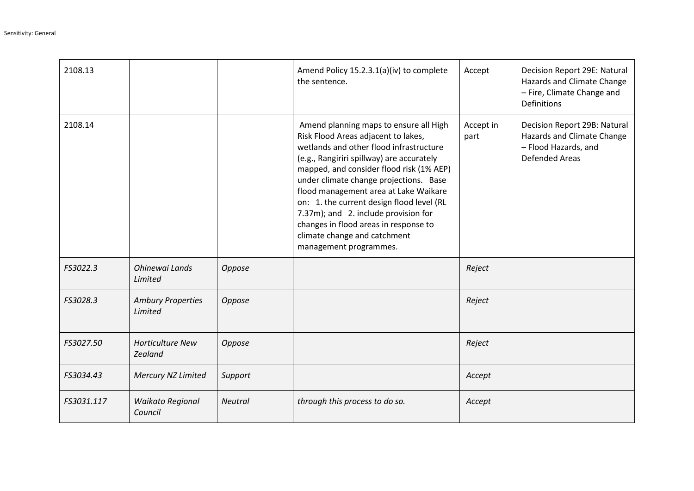| 2108.13    |                                     |                | Amend Policy 15.2.3.1(a)(iv) to complete<br>the sentence.                                                                                                                                                                                                                                                                                                                                                                                                                                    | Accept            | Decision Report 29E: Natural<br>Hazards and Climate Change<br>- Fire, Climate Change and<br><b>Definitions</b> |
|------------|-------------------------------------|----------------|----------------------------------------------------------------------------------------------------------------------------------------------------------------------------------------------------------------------------------------------------------------------------------------------------------------------------------------------------------------------------------------------------------------------------------------------------------------------------------------------|-------------------|----------------------------------------------------------------------------------------------------------------|
| 2108.14    |                                     |                | Amend planning maps to ensure all High<br>Risk Flood Areas adjacent to lakes,<br>wetlands and other flood infrastructure<br>(e.g., Rangiriri spillway) are accurately<br>mapped, and consider flood risk (1% AEP)<br>under climate change projections. Base<br>flood management area at Lake Waikare<br>on: 1. the current design flood level (RL<br>7.37m); and 2. include provision for<br>changes in flood areas in response to<br>climate change and catchment<br>management programmes. | Accept in<br>part | Decision Report 29B: Natural<br>Hazards and Climate Change<br>- Flood Hazards, and<br><b>Defended Areas</b>    |
| FS3022.3   | Ohinewai Lands<br>Limited           | Oppose         |                                                                                                                                                                                                                                                                                                                                                                                                                                                                                              | Reject            |                                                                                                                |
| FS3028.3   | <b>Ambury Properties</b><br>Limited | Oppose         |                                                                                                                                                                                                                                                                                                                                                                                                                                                                                              | Reject            |                                                                                                                |
| FS3027.50  | <b>Horticulture New</b><br>Zealand  | Oppose         |                                                                                                                                                                                                                                                                                                                                                                                                                                                                                              | Reject            |                                                                                                                |
| FS3034.43  | Mercury NZ Limited                  | Support        |                                                                                                                                                                                                                                                                                                                                                                                                                                                                                              | Accept            |                                                                                                                |
| FS3031.117 | Waikato Regional<br>Council         | <b>Neutral</b> | through this process to do so.                                                                                                                                                                                                                                                                                                                                                                                                                                                               | Accept            |                                                                                                                |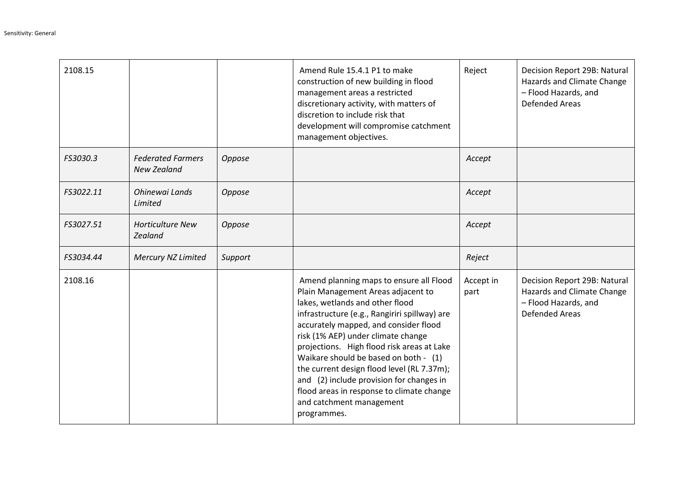| 2108.15   |                                                |         | Amend Rule 15.4.1 P1 to make<br>construction of new building in flood<br>management areas a restricted<br>discretionary activity, with matters of<br>discretion to include risk that<br>development will compromise catchment<br>management objectives.                                                                                                                                                                                                                                                                   | Reject            | Decision Report 29B: Natural<br>Hazards and Climate Change<br>- Flood Hazards, and<br><b>Defended Areas</b> |
|-----------|------------------------------------------------|---------|---------------------------------------------------------------------------------------------------------------------------------------------------------------------------------------------------------------------------------------------------------------------------------------------------------------------------------------------------------------------------------------------------------------------------------------------------------------------------------------------------------------------------|-------------------|-------------------------------------------------------------------------------------------------------------|
| FS3030.3  | <b>Federated Farmers</b><br><b>New Zealand</b> | Oppose  |                                                                                                                                                                                                                                                                                                                                                                                                                                                                                                                           | Accept            |                                                                                                             |
| FS3022.11 | Ohinewai Lands<br>Limited                      | Oppose  |                                                                                                                                                                                                                                                                                                                                                                                                                                                                                                                           | Accept            |                                                                                                             |
| FS3027.51 | <b>Horticulture New</b><br>Zealand             | Oppose  |                                                                                                                                                                                                                                                                                                                                                                                                                                                                                                                           | Accept            |                                                                                                             |
| FS3034.44 | Mercury NZ Limited                             | Support |                                                                                                                                                                                                                                                                                                                                                                                                                                                                                                                           | Reject            |                                                                                                             |
| 2108.16   |                                                |         | Amend planning maps to ensure all Flood<br>Plain Management Areas adjacent to<br>lakes, wetlands and other flood<br>infrastructure (e.g., Rangiriri spillway) are<br>accurately mapped, and consider flood<br>risk (1% AEP) under climate change<br>projections. High flood risk areas at Lake<br>Waikare should be based on both - (1)<br>the current design flood level (RL 7.37m);<br>and (2) include provision for changes in<br>flood areas in response to climate change<br>and catchment management<br>programmes. | Accept in<br>part | Decision Report 29B: Natural<br>Hazards and Climate Change<br>- Flood Hazards, and<br><b>Defended Areas</b> |